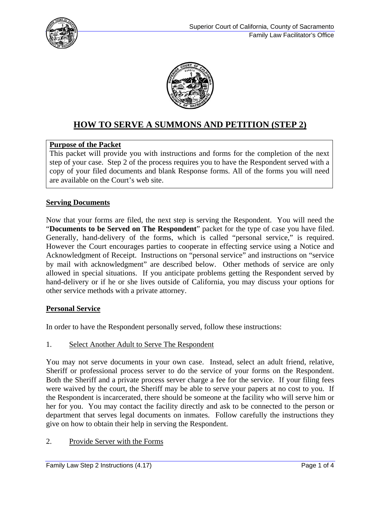



# **HOW TO SERVE A SUMMONS AND PETITION (STEP 2)**

## **Purpose of the Packet**

This packet will provide you with instructions and forms for the completion of the next step of your case. Step 2 of the process requires you to have the Respondent served with a copy of your filed documents and blank Response forms. All of the forms you will need are available on the Court's web site.

## **Serving Documents**

Now that your forms are filed, the next step is serving the Respondent. You will need the "**Documents to be Served on The Respondent**" packet for the type of case you have filed. Generally, hand-delivery of the forms, which is called "personal service," is required. However the Court encourages parties to cooperate in effecting service using a Notice and Acknowledgment of Receipt. Instructions on "personal service" and instructions on "service by mail with acknowledgment" are described below. Other methods of service are only allowed in special situations. If you anticipate problems getting the Respondent served by hand-delivery or if he or she lives outside of California, you may discuss your options for other service methods with a private attorney.

## **Personal Service**

In order to have the Respondent personally served, follow these instructions:

1. Select Another Adult to Serve The Respondent

You may not serve documents in your own case. Instead, select an adult friend, relative, Sheriff or professional process server to do the service of your forms on the Respondent. Both the Sheriff and a private process server charge a fee for the service. If your filing fees were waived by the court, the Sheriff may be able to serve your papers at no cost to you. If the Respondent is incarcerated, there should be someone at the facility who will serve him or her for you. You may contact the facility directly and ask to be connected to the person or department that serves legal documents on inmates. Follow carefully the instructions they give on how to obtain their help in serving the Respondent.

## 2. Provide Server with the Forms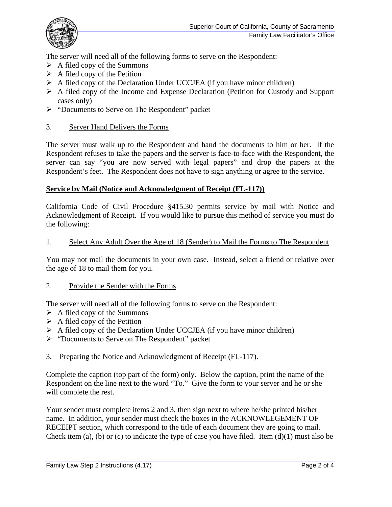

The server will need all of the following forms to serve on the Respondent:

- $\triangleright$  A filed copy of the Summons
- $\triangleright$  A filed copy of the Petition
- $\triangleright$  A filed copy of the Declaration Under UCCJEA (if you have minor children)
- A filed copy of the Income and Expense Declaration (Petition for Custody and Support cases only)
- "Documents to Serve on The Respondent" packet

### 3. Server Hand Delivers the Forms

The server must walk up to the Respondent and hand the documents to him or her. If the Respondent refuses to take the papers and the server is face-to-face with the Respondent, the server can say "you are now served with legal papers" and drop the papers at the Respondent's feet. The Respondent does not have to sign anything or agree to the service.

### **Service by Mail (Notice and Acknowledgment of Receipt (FL-117))**

California Code of Civil Procedure §415.30 permits service by mail with Notice and Acknowledgment of Receipt. If you would like to pursue this method of service you must do the following:

#### 1. Select Any Adult Over the Age of 18 (Sender) to Mail the Forms to The Respondent

You may not mail the documents in your own case. Instead, select a friend or relative over the age of 18 to mail them for you.

#### 2. Provide the Sender with the Forms

The server will need all of the following forms to serve on the Respondent:

- $\triangleright$  A filed copy of the Summons
- $\triangleright$  A filed copy of the Petition
- $\triangleright$  A filed copy of the Declaration Under UCCJEA (if you have minor children)
- > "Documents to Serve on The Respondent" packet

#### 3. Preparing the Notice and Acknowledgment of Receipt (FL-117).

Complete the caption (top part of the form) only. Below the caption, print the name of the Respondent on the line next to the word "To." Give the form to your server and he or she will complete the rest.

Your sender must complete items 2 and 3, then sign next to where he/she printed his/her name. In addition, your sender must check the boxes in the ACKNOWLEGEMENT OF RECEIPT section, which correspond to the title of each document they are going to mail. Check item (a), (b) or (c) to indicate the type of case you have filed. Item  $(d)(1)$  must also be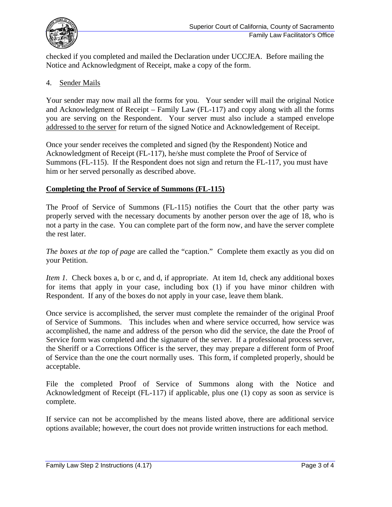

checked if you completed and mailed the Declaration under UCCJEA. Before mailing the Notice and Acknowledgment of Receipt, make a copy of the form.

## 4. Sender Mails

Your sender may now mail all the forms for you. Your sender will mail the original Notice and Acknowledgment of Receipt – Family Law (FL-117) and copy along with all the forms you are serving on the Respondent. Your server must also include a stamped envelope addressed to the server for return of the signed Notice and Acknowledgement of Receipt.

Once your sender receives the completed and signed (by the Respondent) Notice and Acknowledgment of Receipt (FL-117), he/she must complete the Proof of Service of Summons (FL-115). If the Respondent does not sign and return the FL-117, you must have him or her served personally as described above.

## **Completing the Proof of Service of Summons (FL-115)**

The Proof of Service of Summons (FL-115) notifies the Court that the other party was properly served with the necessary documents by another person over the age of 18, who is not a party in the case. You can complete part of the form now, and have the server complete the rest later.

*The boxes at the top of page* are called the "caption." Complete them exactly as you did on your Petition.

*Item 1.* Check boxes a, b or c, and d, if appropriate. At item 1d, check any additional boxes for items that apply in your case, including box (1) if you have minor children with Respondent. If any of the boxes do not apply in your case, leave them blank.

Once service is accomplished, the server must complete the remainder of the original Proof of Service of Summons. This includes when and where service occurred, how service was accomplished, the name and address of the person who did the service, the date the Proof of Service form was completed and the signature of the server. If a professional process server, the Sheriff or a Corrections Officer is the server, they may prepare a different form of Proof of Service than the one the court normally uses. This form, if completed properly, should be acceptable.

File the completed Proof of Service of Summons along with the Notice and Acknowledgment of Receipt (FL-117) if applicable, plus one (1) copy as soon as service is complete.

If service can not be accomplished by the means listed above, there are additional service options available; however, the court does not provide written instructions for each method.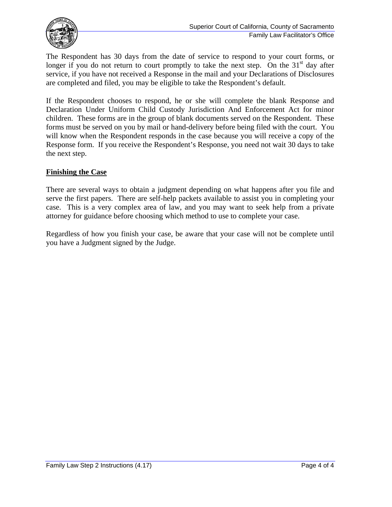

The Respondent has 30 days from the date of service to respond to your court forms, or longer if you do not return to court promptly to take the next step. On the  $31<sup>st</sup>$  day after service, if you have not received a Response in the mail and your Declarations of Disclosures are completed and filed, you may be eligible to take the Respondent's default.

If the Respondent chooses to respond, he or she will complete the blank Response and Declaration Under Uniform Child Custody Jurisdiction And Enforcement Act for minor children. These forms are in the group of blank documents served on the Respondent. These forms must be served on you by mail or hand-delivery before being filed with the court. You will know when the Respondent responds in the case because you will receive a copy of the Response form. If you receive the Respondent's Response, you need not wait 30 days to take the next step.

## **Finishing the Case**

There are several ways to obtain a judgment depending on what happens after you file and serve the first papers. There are self-help packets available to assist you in completing your case. This is a very complex area of law, and you may want to seek help from a private attorney for guidance before choosing which method to use to complete your case.

Regardless of how you finish your case, be aware that your case will not be complete until you have a Judgment signed by the Judge.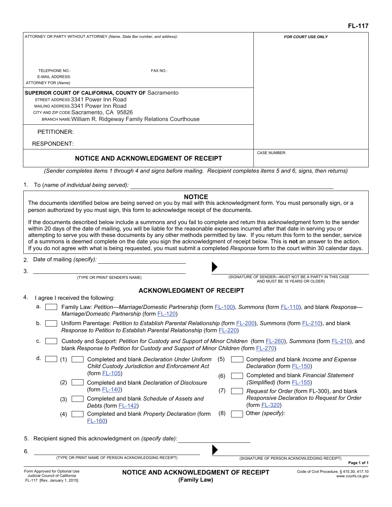| ATTORNEY OR PARTY WITHOUT ATTORNEY (Name, State Bar number, and address):<br>TELEPHONE NO.:                                                                                                                                                         | FAX NO.: | <b>FOR COURT USE ONLY</b> |
|-----------------------------------------------------------------------------------------------------------------------------------------------------------------------------------------------------------------------------------------------------|----------|---------------------------|
| <b>E-MAIL ADDRESS:</b>                                                                                                                                                                                                                              |          |                           |
| ATTORNEY FOR (Name):                                                                                                                                                                                                                                |          |                           |
|                                                                                                                                                                                                                                                     |          |                           |
| <b>SUPERIOR COURT OF CALIFORNIA, COUNTY OF Sacramento</b><br>STREET ADDRESS: 3341 Power Inn Road<br>MAILING ADDRESS: 3341 Power Inn Road<br>CITY AND ZIP CODE: Sacramento, CA 95826<br>BRANCH NAME: William R. Ridgeway Family Relations Courthouse |          |                           |
| PETITIONER:                                                                                                                                                                                                                                         |          |                           |
| <b>RESPONDENT:</b>                                                                                                                                                                                                                                  |          |                           |
| NOTICE AND ACKNOWLEDGMENT OF RECEIPT                                                                                                                                                                                                                |          | <b>CASE NUMBER:</b>       |
| (Sender completes items 1 through 4 and signs before mailing. Recipient completes items 5 and 6, signs, then returns)                                                                                                                               |          |                           |

To (*name of individual being served):* 1.

The documents identified below are being served on you by mail with this acknowledgment form. You must personally sign, or a person authorized by you must sign, this form to acknowledge receipt of the documents.

If the documents described below include a summons and you fail to complete and return this acknowledgment form to the sender within 20 days of the date of mailing, you will be liable for the reasonable expenses incurred after that date in serving you or attempting to serve you with these documents by any other methods permitted by law. If you return this form to the sender, service of a summons is deemed complete on the date you sign the acknowledgment of receipt below. This is **not** an answer to the action. If you do not agree with what is being requested, you must submit a completed *Response* form to the court within 30 calendar days.

Date of mailing *(specify):* 2.

3.



(TYPE OR PRINT SENDER'S NAME) (SIGNATURE OF SENDER—MUST NOT BE A PARTY IN THIS CASE AND MUST BE 18 YEARS OR OLDER)

#### **ACKNOWLEDGMENT OF RECEIPT**

| 4. |  |  |  | I agree I received the following: |
|----|--|--|--|-----------------------------------|
|----|--|--|--|-----------------------------------|

- a. Family Law: *Petition—Marriage/Domestic Partnership* (form FL-100), *Summons* (form FL-110), and blank *Response— Marriage/Domestic Partnership* (form FL-120)
- b. Uniform Parentage: *Petition to Establish Parental Relationship* (form FL-200), *Summons* (form FL-210), and blank *Response to Petition to Establish Parental Relationship* (form FL-220)
- c. Custody and Support: *Petition for Custody and Support of Minor Children* (form FL-260), *Summons* (form FL-210), and blank *Response to Petition for Custody and Support of Minor Children* (form FL-270)

|    | d.                | Completed and blank Declaration Under Uniform<br>Child Custody Jurisdiction and Enforcement Act                                                                                                                          | (5)               | Completed and blank <i>Income and Expense</i><br>Declaration (form FL-150)                                                                                                                                |
|----|-------------------|--------------------------------------------------------------------------------------------------------------------------------------------------------------------------------------------------------------------------|-------------------|-----------------------------------------------------------------------------------------------------------------------------------------------------------------------------------------------------------|
|    | (2)<br>(3)<br>(4) | (form $FL-105$ )<br>Completed and blank Declaration of Disclosure<br>(form $FL-140$ )<br>Completed and blank Schedule of Assets and<br>Debts (form FL-142)<br>Completed and blank Property Declaration (form<br>$FL-160$ | (6)<br>(7)<br>(8) | Completed and blank Financial Statement<br>(Simplified) (form FL-155)<br>Request for Order (form FL-300), and blank<br>Responsive Declaration to Request for Order<br>$(from FL-320)$<br>Other (specify): |
| 6. |                   | 5. Recipient signed this acknowledgment on (specify date):                                                                                                                                                               |                   |                                                                                                                                                                                                           |
|    |                   | (TYPE OR PRINT NAME OF PERSON ACKNOWLEDGING RECEIPT)                                                                                                                                                                     |                   | (SIGNATURE OF PERSON ACKNOWLEDGING RECEIPT)<br>Page 1 of 1                                                                                                                                                |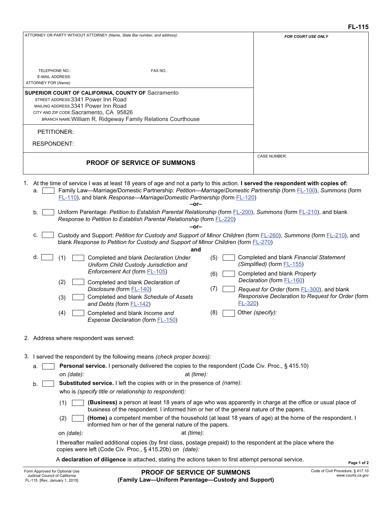| FAX NO.:<br>TELEPHONE NO.:<br><b>E-MAIL ADDRESS:</b>                                                                                                                                                                                                                                                                                       |             |  |  |
|--------------------------------------------------------------------------------------------------------------------------------------------------------------------------------------------------------------------------------------------------------------------------------------------------------------------------------------------|-------------|--|--|
| ATTORNEY FOR (Name):                                                                                                                                                                                                                                                                                                                       |             |  |  |
| <b>SUPERIOR COURT OF CALIFORNIA, COUNTY OF Sacramento</b><br>STREET ADDRESS: 3341 Power Inn Road<br>MAILING ADDRESS: 3341 Power Inn Road<br>CITY AND ZIP CODE: Sacramento, CA 95826<br>BRANCH NAME: William R. Ridgeway Family Relations Courthouse                                                                                        |             |  |  |
| PETITIONER:                                                                                                                                                                                                                                                                                                                                |             |  |  |
| <b>RESPONDENT:</b>                                                                                                                                                                                                                                                                                                                         |             |  |  |
| <b>CASE NUMBER:</b><br><b>PROOF OF SERVICE OF SUMMONS</b>                                                                                                                                                                                                                                                                                  |             |  |  |
| 1. At the time of service I was at least 18 years of age and not a party to this action. I served the respondent with copies of:<br>Family Law—Marriage/Domestic Partnership: Petition—Marriage/Domestic Partnership (form FL-100), Summons (form<br>a.<br>FL-110), and blank Response-Marriage/Domestic Partnership (form FL-120)<br>-or- |             |  |  |
| Uniform Parentage: Petition to Establish Parental Relationship (form FL-200), Summons (form FL-210), and blank<br>b.<br>Response to Petition to Establish Parental Relationship (form <b>FL-220</b> )<br>-or-                                                                                                                              |             |  |  |
| Custody and Support: Petition for Custody and Support of Minor Children (form FL-260), Summons (form FL-210), and<br>c.<br>blank Response to Petition for Custody and Support of Minor Children (form FL-270)<br>and                                                                                                                       |             |  |  |
| Completed and blank Financial Statement<br>d.<br>(1)<br>Completed and blank Declaration Under<br>(5)<br>(Simplified) (form FL-155)<br>Uniform Child Custody Jurisdiction and<br>Enforcement Act (form FL-105)<br>Completed and blank Property<br>(6)                                                                                       |             |  |  |
| Declaration (form FL-160)<br>(2)<br>Completed and blank Declaration of                                                                                                                                                                                                                                                                     |             |  |  |
| (7)<br>Disclosure (form FL-140)<br>Request for Order (form <b>FL-300</b> ), and blank<br>Responsive Declaration to Request for Order (form<br>Completed and blank Schedule of Assets<br>(3)<br>$FL-320$<br>and Debts (form FL-142)                                                                                                         |             |  |  |
| (8)<br>Other (specify):<br>Completed and blank Income and<br>(4)<br>Expense Declaration (form FL-150)                                                                                                                                                                                                                                      |             |  |  |
| 2. Address where respondent was served:                                                                                                                                                                                                                                                                                                    |             |  |  |
| 3. I served the respondent by the following means (check proper boxes):                                                                                                                                                                                                                                                                    |             |  |  |
| Personal service. I personally delivered the copies to the respondent (Code Civ. Proc., § 415.10)<br>а.                                                                                                                                                                                                                                    |             |  |  |
| on (date):<br>at (time):<br><b>Substituted service.</b> I left the copies with or in the presence of (name):<br>who is (specify title or relationship to respondent):                                                                                                                                                                      |             |  |  |
| (Business) a person at least 18 years of age who was apparently in charge at the office or usual place of<br>(1)<br>business of the respondent. I informed him or her of the general nature of the papers.                                                                                                                                 |             |  |  |
| (Home) a competent member of the household (at least 18 years of age) at the home of the respondent. I<br>(2)<br>informed him or her of the general nature of the papers.<br>at (time):<br>on (date):                                                                                                                                      |             |  |  |
| I thereafter mailed additional copies (by first class, postage prepaid) to the respondent at the place where the<br>copies were left (Code Civ. Proc., § 415.20b) on (date):                                                                                                                                                               |             |  |  |
| A declaration of diligence is attached, stating the actions taken to first attempt personal service.                                                                                                                                                                                                                                       | Page 1 of 2 |  |  |